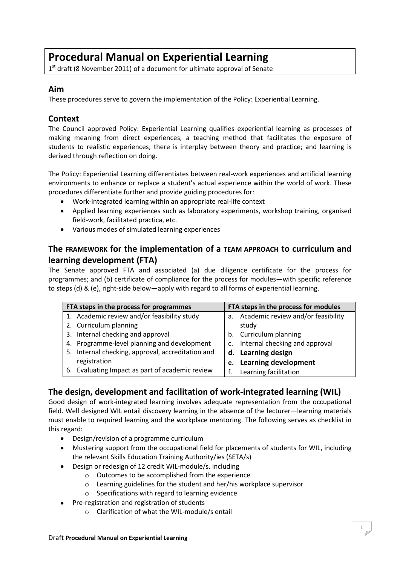# **Procedural Manual on Experiential Learning**

1<sup>st</sup> draft (8 November 2011) of a document for ultimate approval of Senate

#### **Aim**

These procedures serve to govern the implementation of the Policy: Experiential Learning.

#### **Context**

The Council approved Policy: Experiential Learning qualifies experiential learning as processes of making meaning from direct experiences; a teaching method that facilitates the exposure of students to realistic experiences; there is interplay between theory and practice; and learning is derived through reflection on doing.

The Policy: Experiential Learning differentiates between real-work experiences and artificial learning environments to enhance or replace a student's actual experience within the world of work. These procedures differentiate further and provide guiding procedures for:

- Work-integrated learning within an appropriate real-life context
- Applied learning experiences such as laboratory experiments, workshop training, organised field-work, facilitated practica, etc.
- Various modes of simulated learning experiences

## **The FRAMEWORK for the implementation of a TEAM APPROACH to curriculum and learning development (FTA)**

The Senate approved FTA and associated (a) due diligence certificate for the process for programmes; and (b) certificate of compliance for the process for modules—with specific reference to steps (d) & (e), right-side below—apply with regard to all forms of experiential learning.

| FTA steps in the process for programmes |                                                   | FTA steps in the process for modules |                                       |
|-----------------------------------------|---------------------------------------------------|--------------------------------------|---------------------------------------|
|                                         | 1. Academic review and/or feasibility study       |                                      | a. Academic review and/or feasibility |
|                                         | 2. Curriculum planning                            |                                      | study                                 |
|                                         | 3. Internal checking and approval                 |                                      | b. Curriculum planning                |
|                                         | 4. Programme-level planning and development       |                                      | c. Internal checking and approval     |
|                                         | 5. Internal checking, approval, accreditation and |                                      | d. Learning design                    |
|                                         | registration                                      |                                      | e. Learning development               |
|                                         | 6. Evaluating Impact as part of academic review   |                                      | Learning facilitation                 |

## **The design, development and facilitation of work-integrated learning (WIL)**

Good design of work-integrated learning involves adequate representation from the occupational field. Well designed WIL entail discovery learning in the absence of the lecturer—learning materials must enable to required learning and the workplace mentoring. The following serves as checklist in this regard:

- $\bullet$ Design/revision of a programme curriculum
- Mustering support from the occupational field for placements of students for WIL, including  $\bullet$ the relevant Skills Education Training Authority/ies (SETA/s)
- Design or redesign of 12 credit WIL-module/s, including
	- o Outcomes to be accomplished from the experience
	- o Learning guidelines for the student and her/his workplace supervisor
	- o Specifications with regard to learning evidence
- Pre-registration and registration of students
	- o Clarification of what the WIL-module/s entail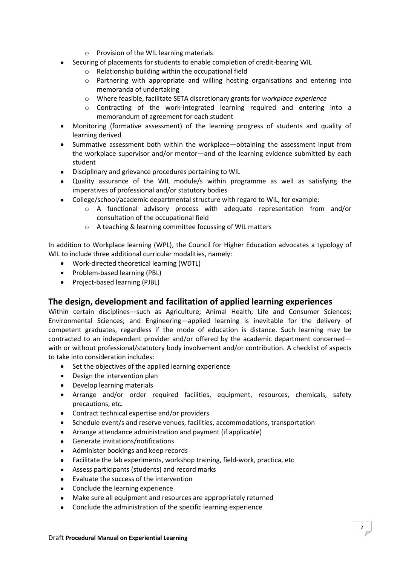- o Provision of the WIL learning materials
- Securing of placements for students to enable completion of credit-bearing WIL
	- o Relationship building within the occupational field
	- o Partnering with appropriate and willing hosting organisations and entering into memoranda of undertaking
	- o Where feasible, facilitate SETA discretionary grants for *workplace experience*
	- $\circ$  Contracting of the work-integrated learning required and entering into a memorandum of agreement for each student
- Monitoring (formative assessment) of the learning progress of students and quality of  $\bullet$ learning derived
- Summative assessment both within the workplace—obtaining the assessment input from the workplace supervisor and/or mentor—and of the learning evidence submitted by each student
- Disciplinary and grievance procedures pertaining to WIL
- Quality assurance of the WIL module/s within programme as well as satisfying the  $\bullet$ imperatives of professional and/or statutory bodies
- College/school/academic departmental structure with regard to WIL, for example:
	- o A functional advisory process with adequate representation from and/or consultation of the occupational field
	- o A teaching & learning committee focussing of WIL matters

In addition to Workplace learning (WPL), the Council for Higher Education advocates a typology of WIL to include three additional curricular modalities, namely:

- Work-directed theoretical learning (WDTL)
- Problem-based learning (PBL)
- Project-based learning (PJBL)

## **The design, development and facilitation of applied learning experiences**

Within certain disciplines—such as Agriculture; Animal Health; Life and Consumer Sciences; Environmental Sciences; and Engineering—applied learning is inevitable for the delivery of competent graduates, regardless if the mode of education is distance. Such learning may be contracted to an independent provider and/or offered by the academic department concerned with or without professional/statutory body involvement and/or contribution. A checklist of aspects to take into consideration includes:

- Set the objectives of the applied learning experience
- Design the intervention plan
- Develop learning materials
- Arrange and/or order required facilities, equipment, resources, chemicals, safety precautions, etc.
- Contract technical expertise and/or providers
- Schedule event/s and reserve venues, facilities, accommodations, transportation
- Arrange attendance administration and payment (if applicable)
- Generate invitations/notifications
- $\bullet$ Administer bookings and keep records
- Facilitate the lab experiments, workshop training, field-work, practica, etc
- Assess participants (students) and record marks
- Evaluate the success of the intervention
- Conclude the learning experience
- Make sure all equipment and resources are appropriately returned
- Conclude the administration of the specific learning experience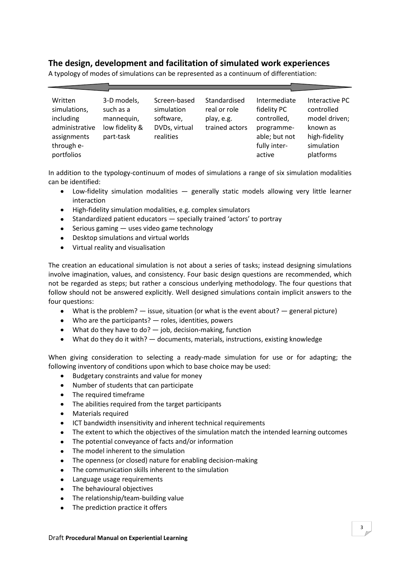## **The design, development and facilitation of simulated work experiences**

Written simulations, including administrative low fidelity & assignments through eportfolios 3-D models, such as a mannequin, part-task Screen-based simulation software, DVDs, virtual realities Standardised real or role play, e.g. trained actors Intermediate fidelity PC controlled, programmeable; but not fully interactive Interactive PC controlled model driven; known as high-fidelity simulation platforms

A typology of modes of simulations can be represented as a continuum of differentiation:

In addition to the typology-continuum of modes of simulations a range of six simulation modalities can be identified:

- Low-fidelity simulation modalities generally static models allowing very little learner  $\bullet$ interaction
- High-fidelity simulation modalities, e.g. complex simulators
- Standardized patient educators specially trained 'actors' to portray  $\bullet$
- $\bullet$  Serious gaming  $-$  uses video game technology
- Desktop simulations and virtual worlds  $\bullet$
- Virtual reality and visualisation

The creation an educational simulation is not about a series of tasks; instead designing simulations involve imagination, values, and consistency. Four basic design questions are recommended, which not be regarded as steps; but rather a conscious underlying methodology. The four questions that follow should not be answered explicitly. Well designed simulations contain implicit answers to the four questions:

- $\bullet$ What is the problem? — issue, situation (or what is the event about? — general picture)
- Who are the participants? roles, identities, powers  $\bullet$
- What do they have to do?  $-$  job, decision-making, function
- What do they do it with? documents, materials, instructions, existing knowledge

When giving consideration to selecting a ready-made simulation for use or for adapting; the following inventory of conditions upon which to base choice may be used:

- $\bullet$ Budgetary constraints and value for money
- Number of students that can participate  $\bullet$
- The required timeframe  $\bullet$
- The abilities required from the target participants  $\bullet$
- Materials required  $\bullet$
- ICT bandwidth insensitivity and inherent technical requirements  $\bullet$
- $\bullet$ The extent to which the objectives of the simulation match the intended learning outcomes
- The potential conveyance of facts and/or information  $\bullet$
- $\bullet$ The model inherent to the simulation
- The openness (or closed) nature for enabling decision-making  $\bullet$
- $\bullet$ The communication skills inherent to the simulation
- $\bullet$ Language usage requirements
- The behavioural objectives
- The relationship/team-building value
- The prediction practice it offers $\bullet$